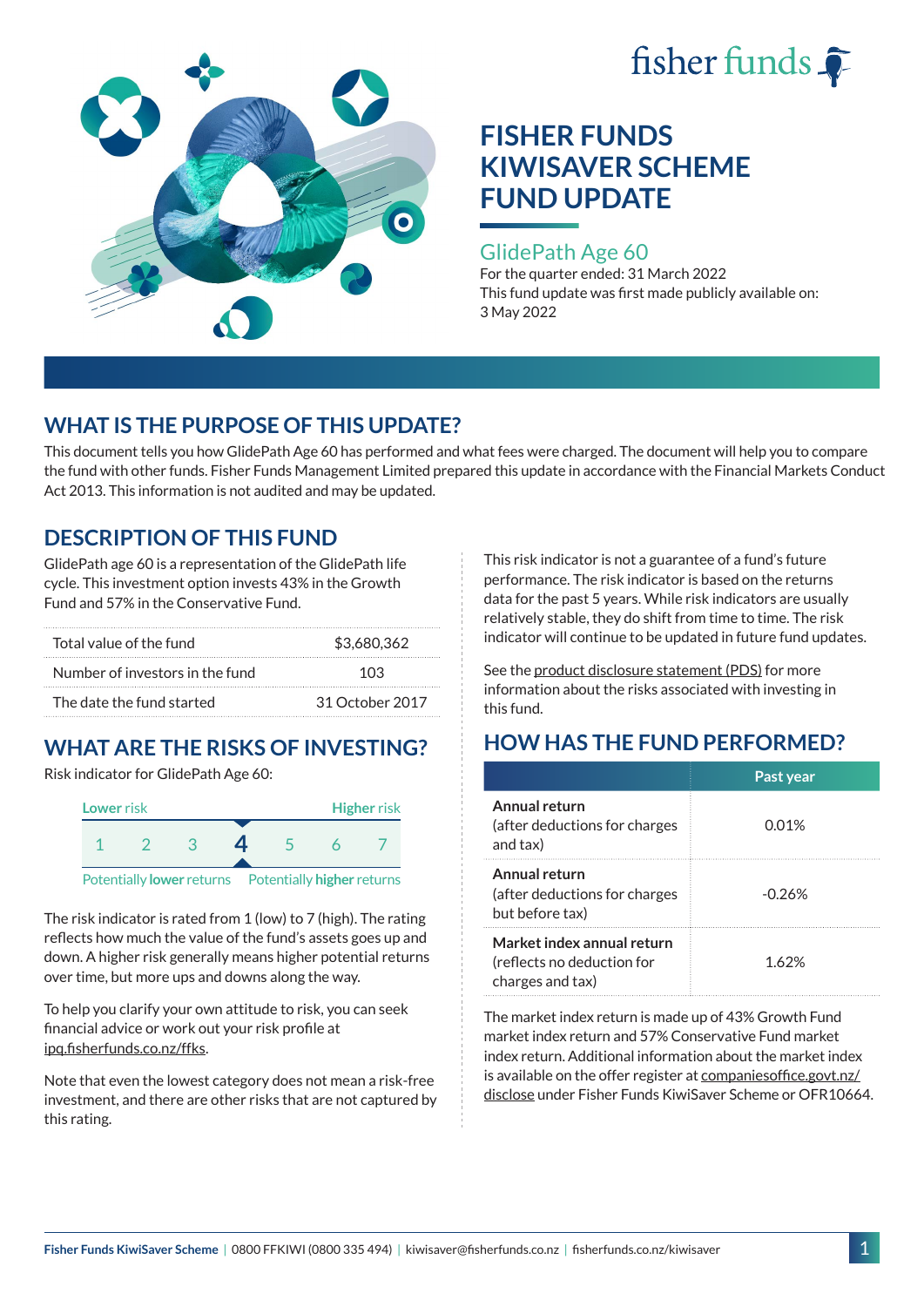



### GlidePath Age 60

For the quarter ended: 31 March 2022 This fund update was first made publicly available on: 3 May 2022

## **WHAT IS THE PURPOSE OF THIS UPDATE?**

This document tells you how GlidePath Age 60 has performed and what fees were charged. The document will help you to compare the fund with other funds. Fisher Funds Management Limited prepared this update in accordance with the Financial Markets Conduct Act 2013. This information is not audited and may be updated.

## **DESCRIPTION OF THIS FUND**

GlidePath age 60 is a representation of the GlidePath life cycle. This investment option invests 43% in the Growth Fund and 57% in the Conservative Fund.

| Total value of the fund         | \$3,680,362     |  |
|---------------------------------|-----------------|--|
| Number of investors in the fund | 103             |  |
| The date the fund started       | 31 October 2017 |  |

# **WHAT ARE THE RISKS OF INVESTING?**

Risk indicator for GlidePath Age 60:



The risk indicator is rated from 1 (low) to 7 (high). The rating

reflects how much the value of the fund's assets goes up and down. A higher risk generally means higher potential returns over time, but more ups and downs along the way.

To help you clarify your own attitude to risk, you can seek financial advice or work out your risk profile at [ipq.fisherfunds.co.nz/ffks](https://ipq.fisherfunds.co.nz/ffks).

Note that even the lowest category does not mean a risk-free investment, and there are other risks that are not captured by this rating.

This risk indicator is not a guarantee of a fund's future performance. The risk indicator is based on the returns data for the past 5 years. While risk indicators are usually relatively stable, they do shift from time to time. The risk indicator will continue to be updated in future fund updates.

See the [product disclosure statement \(PDS\)](https://fisherfunds.co.nz/assets/PDS/Fisher-Funds-KiwiSaver-Scheme-PDS.pdf) for more information about the risks associated with investing in this fund.

## **HOW HAS THE FUND PERFORMED?**

|                                                                              | Past year |
|------------------------------------------------------------------------------|-----------|
| Annual return<br>(after deductions for charges<br>and tax)                   | 0.01%     |
| Annual return<br>(after deductions for charges<br>but before tax)            | $-0.26%$  |
| Market index annual return<br>(reflects no deduction for<br>charges and tax) | 1.62%     |

The market index return is made up of 43% Growth Fund market index return and 57% Conservative Fund market index return. Additional information about the market index is available on the offer register at [companiesoffice.govt.nz/](http://companiesoffice.govt.nz/disclose) [disclose](http://companiesoffice.govt.nz/disclose) under Fisher Funds KiwiSaver Scheme or OFR10664.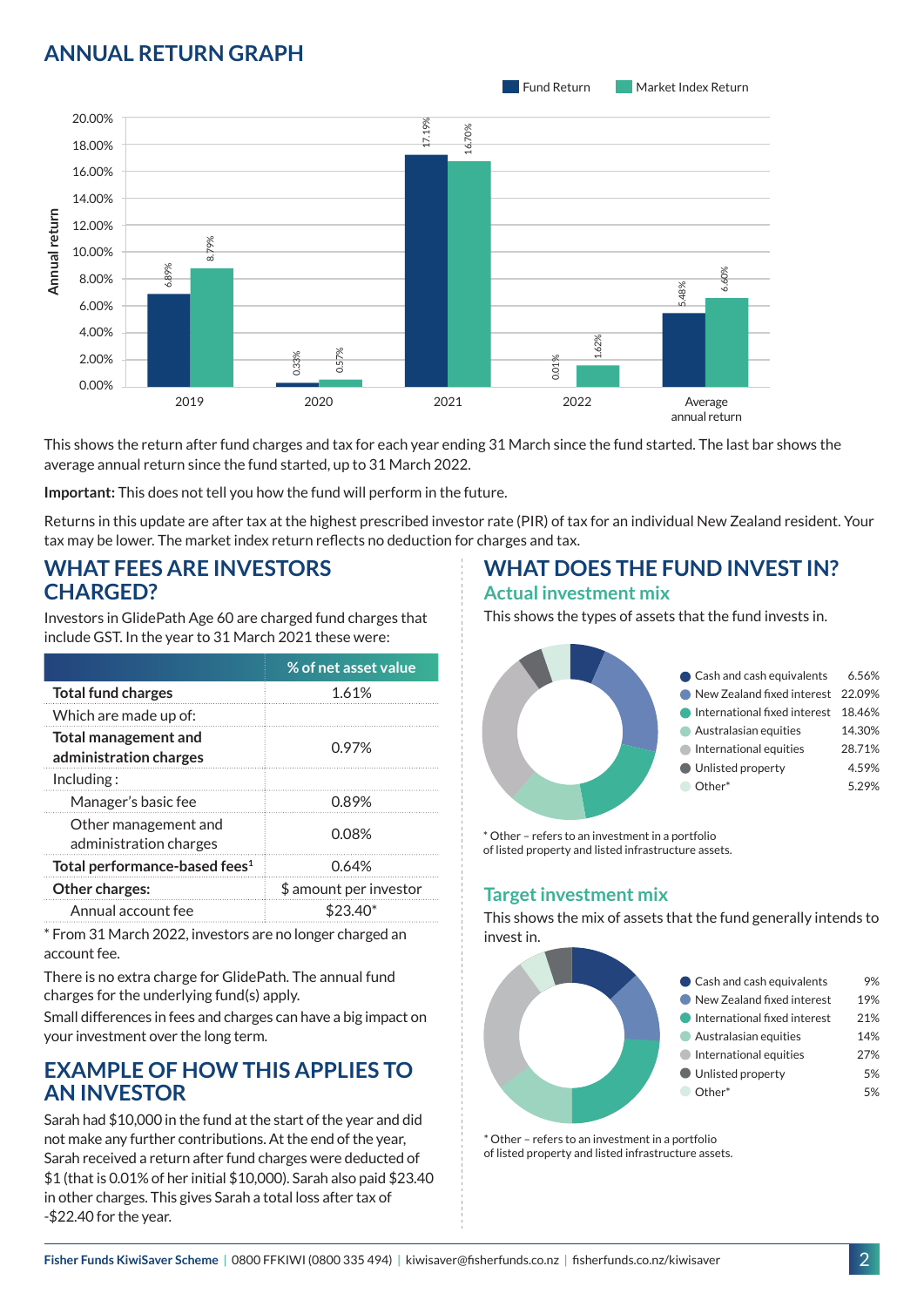## **ANNUAL RETURN GRAPH**



This shows the return after fund charges and tax for each year ending 31 March since the fund started. The last bar shows the average annual return since the fund started, up to 31 March 2022.

**Important:** This does not tell you how the fund will perform in the future.

Returns in this update are after tax at the highest prescribed investor rate (PIR) of tax for an individual New Zealand resident. Your tax may be lower. The market index return reflects no deduction for charges and tax.

### **WHAT FEES ARE INVESTORS CHARGED?**

Investors in GlidePath Age 60 are charged fund charges that include GST. In the year to 31 March 2021 these were:

|                                                       | % of net asset value   |
|-------------------------------------------------------|------------------------|
| <b>Total fund charges</b>                             | 1.61%                  |
| Which are made up of:                                 |                        |
| <b>Total management and</b><br>administration charges | 0.97%                  |
| Inding:                                               |                        |
| Manager's basic fee                                   | 0.89%                  |
| Other management and<br>administration charges        | 0.08%                  |
| Total performance-based fees <sup>1</sup>             | 0.64%                  |
| Other charges:                                        | \$ amount per investor |
| Annual account fee                                    |                        |

\* From 31 March 2022, investors are no longer charged an account fee.

There is no extra charge for GlidePath. The annual fund charges for the underlying fund(s) apply.

Small differences in fees and charges can have a big impact on your investment over the long term.

## **EXAMPLE OF HOW THIS APPLIES TO AN INVESTOR**

Sarah had \$10,000 in the fund at the start of the year and did not make any further contributions. At the end of the year, Sarah received a return after fund charges were deducted of \$1 (that is 0.01% of her initial \$10,000). Sarah also paid \$23.40 in other charges. This gives Sarah a total loss after tax of -\$22.40 for the year.

# **WHAT DOES THE FUND INVEST IN?**

#### **Actual investment mix**

This shows the types of assets that the fund invests in.



\* Other – refers to an investment in a portfolio of listed property and listed infrastructure assets.

### **Target investment mix**

This shows the mix of assets that the fund generally intends to invest in.



\* Other – refers to an investment in a portfolio of listed property and listed infrastructure assets.